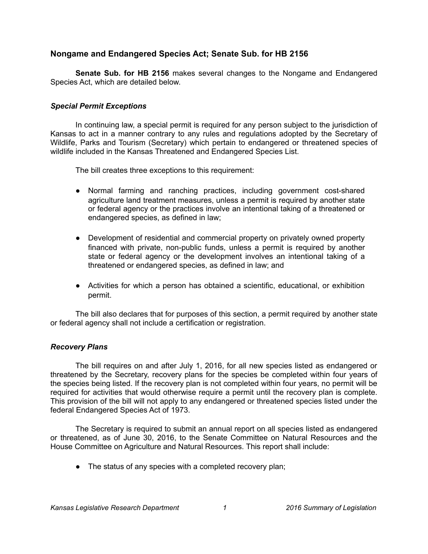## **Nongame and Endangered Species Act; Senate Sub. for HB 2156**

**Senate Sub. for HB 2156** makes several changes to the Nongame and Endangered Species Act, which are detailed below.

## *Special Permit Exceptions*

In continuing law, a special permit is required for any person subject to the jurisdiction of Kansas to act in a manner contrary to any rules and regulations adopted by the Secretary of Wildlife, Parks and Tourism (Secretary) which pertain to endangered or threatened species of wildlife included in the Kansas Threatened and Endangered Species List.

The bill creates three exceptions to this requirement:

- Normal farming and ranching practices, including government cost-shared agriculture land treatment measures, unless a permit is required by another state or federal agency or the practices involve an intentional taking of a threatened or endangered species, as defined in law;
- Development of residential and commercial property on privately owned property financed with private, non-public funds, unless a permit is required by another state or federal agency or the development involves an intentional taking of a threatened or endangered species, as defined in law; and
- Activities for which a person has obtained a scientific, educational, or exhibition permit.

The bill also declares that for purposes of this section, a permit required by another state or federal agency shall not include a certification or registration.

## *Recovery Plans*

The bill requires on and after July 1, 2016, for all new species listed as endangered or threatened by the Secretary, recovery plans for the species be completed within four years of the species being listed. If the recovery plan is not completed within four years, no permit will be required for activities that would otherwise require a permit until the recovery plan is complete. This provision of the bill will not apply to any endangered or threatened species listed under the federal Endangered Species Act of 1973.

The Secretary is required to submit an annual report on all species listed as endangered or threatened, as of June 30, 2016, to the Senate Committee on Natural Resources and the House Committee on Agriculture and Natural Resources. This report shall include:

• The status of any species with a completed recovery plan;